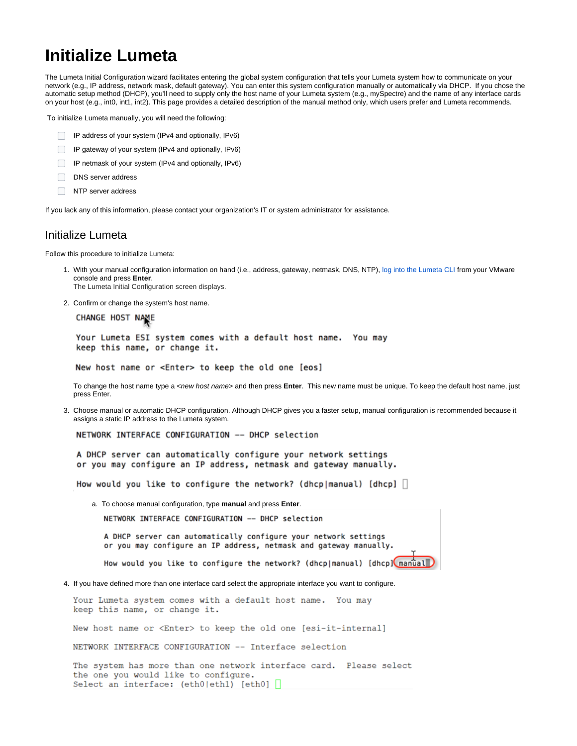## **Initialize Lumeta**

The Lumeta Initial Configuration wizard facilitates entering the global system configuration that tells your Lumeta system how to communicate on your network (e.g., IP address, network mask, default gateway). You can enter this system configuration manually or automatically via DHCP. If you chose the automatic setup method (DHCP), you'll need to supply only the host name of your Lumeta system (e.g., mySpectre) and the name of any interface cards on your host (e.g., int0, int1, int2). This page provides a detailed description of the manual method only, which users prefer and Lumeta recommends.

To initialize Lumeta manually, you will need the following:

- IP address of your system (IPv4 and optionally, IPv6)
- $\Box$  IP gateway of your system (IPv4 and optionally, IPv6)
- IP netmask of your system (IPv4 and optionally, IPv6)
- DNS server address
- NTP server address

If you lack any of this information, please contact your organization's IT or system administrator for assistance.

## Initialize Lumeta

Follow this procedure to initialize Lumeta:

- 1. With your manual configuration information on hand (i.e., address, gateway, netmask, DNS, NTP), [log into the Lumeta CLI](https://lumetadocs.firemon.com/display/LCV/Log+In+via+CLI%2C+VMware%2C+Console%2C+or+SSH) from your VMware console and press **Enter**. The Lumeta Initial Configuration screen displays.
- 2. Confirm or change the system's host name.

CHANGE HOST NAME

Your Lumeta ESI system comes with a default host name. You may keep this name, or change it.

New host name or <Enter> to keep the old one [eos]

To change the host name type a <new host name> and then press **Enter**. This new name must be unique. To keep the default host name, just press Enter.

3. Choose manual or automatic DHCP configuration. Although DHCP gives you a faster setup, manual configuration is recommended because it assigns a static IP address to the Lumeta system.

NETWORK INTERFACE CONFIGURATION -- DHCP selection

A DHCP server can automatically configure your network settings or you may configure an IP address, netmask and gateway manually.

How would you like to configure the network? (dhcp|manual) [dhcp]  $\lfloor$ 

a. To choose manual configuration, type **manual** and press **Enter**.

NETWORK INTERFACE CONFIGURATION -- DHCP selection

A DHCP server can automatically configure your network settings or you may configure an IP address, netmask and gateway manually.

How would you like to configure the network? (dhcp|manual) [dhcp] manual

4. If you have defined more than one interface card select the appropriate interface you want to configure.

Your Lumeta system comes with a default host name. You may keep this name, or change it.

New host name or <Enter> to keep the old one [esi-it-internal]

NETWORK INTERFACE CONFIGURATION -- Interface selection

The system has more than one network interface card. Please select the one you would like to configure. Select an interface: (eth0|eth1) [eth0] [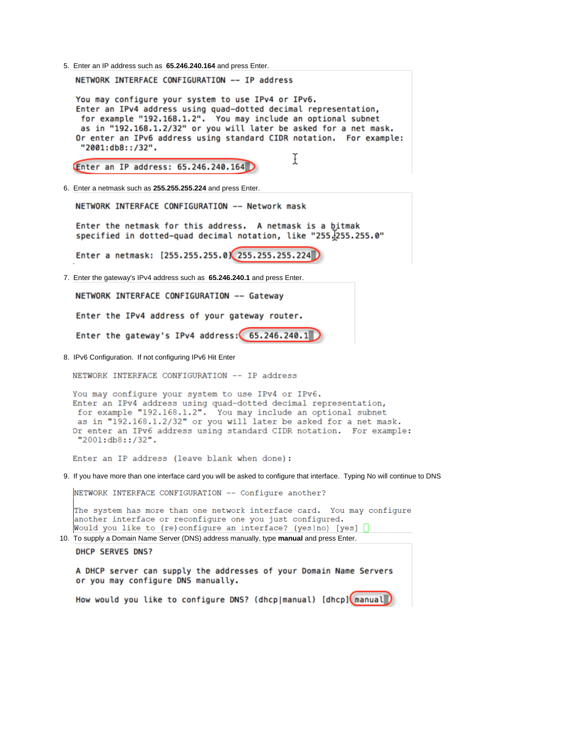5. Enter an IP address such as **65.246.240.164** and press Enter.

NETWORK INTERFACE CONFIGURATION -- IP address

You may configure your system to use IPv4 or IPv6. Enter an IPv4 address using quad-dotted decimal representation, for example "192.168.1.2". You may include an optional subnet as in "192.168.1.2/32" or you will later be asked for a net mask. Or enter an IPv6 address using standard CIDR notation. For example: "2001:db8::/32". Ĩ

Enter an IP address: 65.246.240.164

6. Enter a netmask such as **255.255.255.224** and press Enter.

NETWORK INTERFACE CONFIGURATION -- Network mask

Enter the netmask for this address. A netmask is a bitmak specified in dotted-quad decimal notation, like "255.255.0"

Enter a netmask: [255.255.255.0] 255.255.255.224

7. Enter the gateway's IPv4 address such as **65.246.240.1** and press Enter.

NETWORK INTERFACE CONFIGURATION -- Gateway

Enter the IPv4 address of your gateway router.

Enter the gateway's IPv4 address: 65.246.240.1

8. IPv6 Configuration. If not configuring IPv6 Hit Enter

NETWORK INTERFACE CONFIGURATION -- IP address

You may configure your system to use IPv4 or IPv6. Enter an IPv4 address using quad-dotted decimal representation, for example "192.168.1.2". You may include an optional subnet as in "192.168.1.2/32" or you will later be asked for a net mask. Or enter an IPv6 address using standard CIDR notation. For example: "2001:db8::/32".

Enter an IP address (leave blank when done):

9. If you have more than one interface card you will be asked to configure that interface. Typing No will continue to DNS

NETWORK INTERFACE CONFIGURATION -- Configure another?

The system has more than one network interface card. You may configure another interface or reconfigure one you just configured. Would you like to (re)configure an interface? (yes|no) [yes] [

10. To supply a Domain Name Server (DNS) address manually, type **manual** and press Enter. DHCP SERVES DNS?

A DHCP server can supply the addresses of your Domain Name Servers or you may configure DNS manually.

How would you like to configure DNS? (dhcp|manual) [dhcp] manual